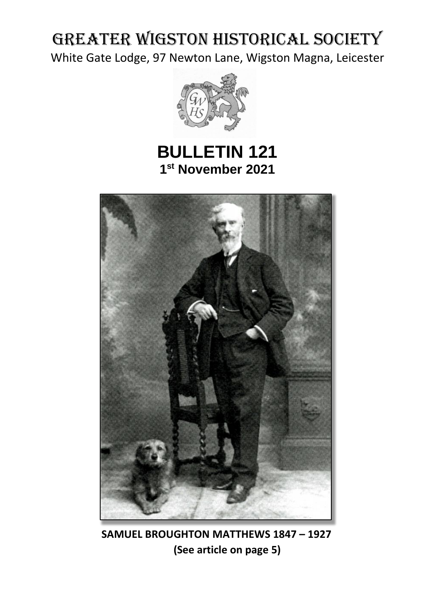# GREATER WIGSTON HISTORICAL SOCIETY

White Gate Lodge, 97 Newton Lane, Wigston Magna, Leicester



# **BULLETIN 121 1 st November 2021**



 **SAMUEL BROUGHTON MATTHEWS 1847 – 1927 (See article on page 5)**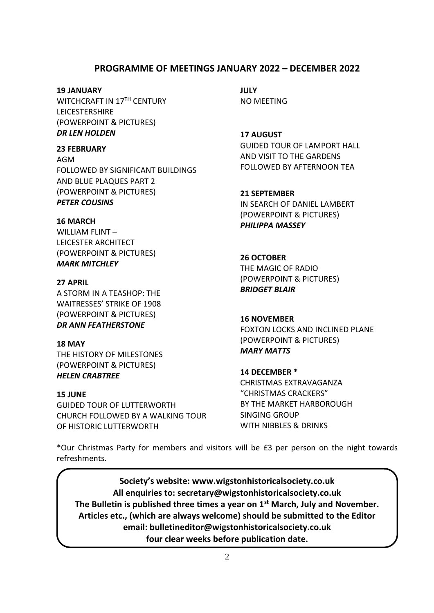### **PROGRAMME OF MEETINGS JANUARY 2022 – DECEMBER 2022**

#### **19 JANUARY**

WITCHCRAFT IN 17<sup>TH</sup> CENTURY LEICESTERSHIRE (POWERPOINT & PICTURES) *DR LEN HOLDEN*

#### **23 FEBRUARY**

AGM FOLLOWED BY SIGNIFICANT BUILDINGS AND BLUE PLAQUES PART 2 (POWERPOINT & PICTURES) *PETER COUSINS*

#### **16 MARCH**

WILLIAM FLINT – LEICESTER ARCHITECT (POWERPOINT & PICTURES) *MARK MITCHLEY*

#### **27 APRIL**

A STORM IN A TEASHOP: THE WAITRESSES' STRIKE OF 1908 (POWERPOINT & PICTURES) *DR ANN FEATHERSTONE*

**18 MAY** THE HISTORY OF MILESTONES (POWERPOINT & PICTURES) *HELEN CRABTREE*

#### **15 JUNE**

GUIDED TOUR OF LUTTERWORTH CHURCH FOLLOWED BY A WALKING TOUR OF HISTORIC LUTTERWORTH

**JULY** NO MEETING

**17 AUGUST** GUIDED TOUR OF LAMPORT HALL AND VISIT TO THE GARDENS FOLLOWED BY AFTERNOON TEA

**21 SEPTEMBER** IN SEARCH OF DANIEL LAMBERT (POWERPOINT & PICTURES) *PHILIPPA MASSEY*

**26 OCTOBER** THE MAGIC OF RADIO (POWERPOINT & PICTURES) *BRIDGET BLAIR*

#### **16 NOVEMBER**

FOXTON LOCKS AND INCLINED PLANE (POWERPOINT & PICTURES) *MARY MATTS*

#### **14 DECEMBER \***

CHRISTMAS EXTRAVAGANZA "CHRISTMAS CRACKERS" BY THE MARKET HARBOROUGH SINGING GROUP WITH NIBBLES & DRINKS

\*Our Christmas Party for members and visitors will be £3 per person on the night towards refreshments.

**Society's website: [www.wigstonhistoricalsociety.co.uk](http://www.wigstonhistoricalsociety.co.uk/) All enquiries to: secretary@wigstonhistoricalsociety.co.uk The Bulletin is published three times a year on 1st March, July and November. Articles etc., (which are always welcome) should be submitted to the Editor email: bulletineditor@wigstonhistoricalsociety.co.uk four clear weeks before publication date.**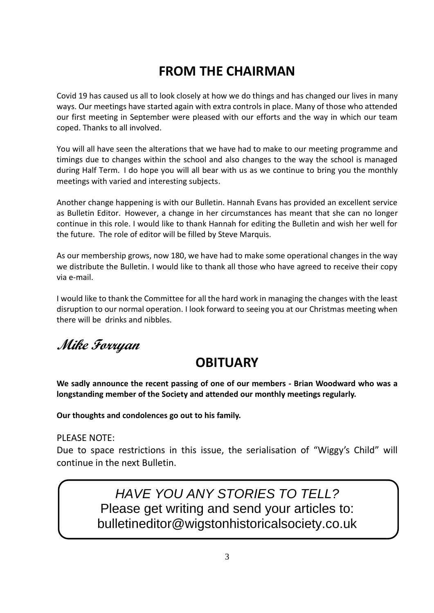# **FROM THE CHAIRMAN**

Covid 19 has caused us all to look closely at how we do things and has changed our lives in many ways. Our meetings have started again with extra controls in place. Many of those who attended our first meeting in September were pleased with our efforts and the way in which our team coped. Thanks to all involved.

You will all have seen the alterations that we have had to make to our meeting programme and timings due to changes within the school and also changes to the way the school is managed during Half Term. I do hope you will all bear with us as we continue to bring you the monthly meetings with varied and interesting subjects.

Another change happening is with our Bulletin. Hannah Evans has provided an excellent service as Bulletin Editor. However, a change in her circumstances has meant that she can no longer continue in this role. I would like to thank Hannah for editing the Bulletin and wish her well for the future. The role of editor will be filled by Steve Marquis.

As our membership grows, now 180, we have had to make some operational changes in the way we distribute the Bulletin. I would like to thank all those who have agreed to receive their copy via e-mail.

I would like to thank the Committee for all the hard work in managing the changes with the least disruption to our normal operation. I look forward to seeing you at our Christmas meeting when there will be drinks and nibbles.

**Mike Forryan**

# **OBITUARY**

**We sadly announce the recent passing of one of our members - Brian Woodward who was a longstanding member of the Society and attended our monthly meetings regularly.** 

**Our thoughts and condolences go out to his family.** 

PLEASE NOTE:

Due to space restrictions in this issue, the serialisation of "Wiggy's Child" will continue in the next Bulletin.

> *HAVE YOU ANY STORIES TO TELL?*  Please get writing and send your articles to: [bulletineditor@wigstonhistoricalsociety.co.uk](mailto:bulletineditor@wigstonhistoricalsociety.co.uk)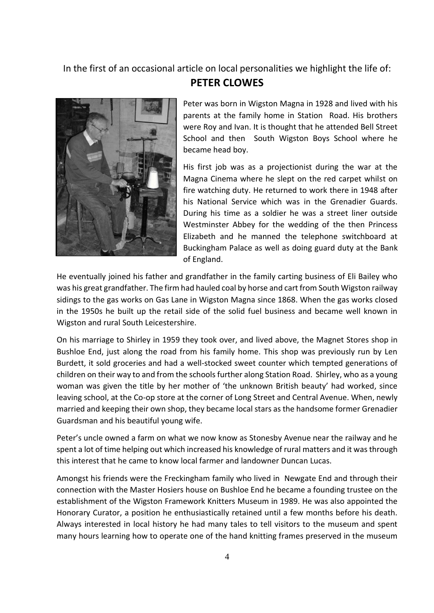In the first of an occasional article on local personalities we highlight the life of:

## **PETER CLOWES**



Peter was born in Wigston Magna in 1928 and lived with his parents at the family home in Station Road. His brothers were Roy and Ivan. It is thought that he attended Bell Street School and then South Wigston Boys School where he became head boy.

His first job was as a projectionist during the war at the Magna Cinema where he slept on the red carpet whilst on fire watching duty. He returned to work there in 1948 after his National Service which was in the Grenadier Guards. During his time as a soldier he was a street liner outside Westminster Abbey for the wedding of the then Princess Elizabeth and he manned the telephone switchboard at Buckingham Palace as well as doing guard duty at the Bank of England.

He eventually joined his father and grandfather in the family carting business of Eli Bailey who was his great grandfather. The firm had hauled coal by horse and cart from South Wigston railway sidings to the gas works on Gas Lane in Wigston Magna since 1868. When the gas works closed in the 1950s he built up the retail side of the solid fuel business and became well known in Wigston and rural South Leicestershire.

On his marriage to Shirley in 1959 they took over, and lived above, the Magnet Stores shop in Bushloe End, just along the road from his family home. This shop was previously run by Len Burdett, it sold groceries and had a well-stocked sweet counter which tempted generations of children on their way to and from the schools further along Station Road. Shirley, who as a young woman was given the title by her mother of 'the unknown British beauty' had worked, since leaving school, at the Co-op store at the corner of Long Street and Central Avenue. When, newly married and keeping their own shop, they became local stars as the handsome former Grenadier Guardsman and his beautiful young wife.

Peter's uncle owned a farm on what we now know as Stonesby Avenue near the railway and he spent a lot of time helping out which increased his knowledge of rural matters and it was through this interest that he came to know local farmer and landowner Duncan Lucas.

Amongst his friends were the Freckingham family who lived in Newgate End and through their connection with the Master Hosiers house on Bushloe End he became a founding trustee on the establishment of the Wigston Framework Knitters Museum in 1989. He was also appointed the Honorary Curator, a position he enthusiastically retained until a few months before his death. Always interested in local history he had many tales to tell visitors to the museum and spent many hours learning how to operate one of the hand knitting frames preserved in the museum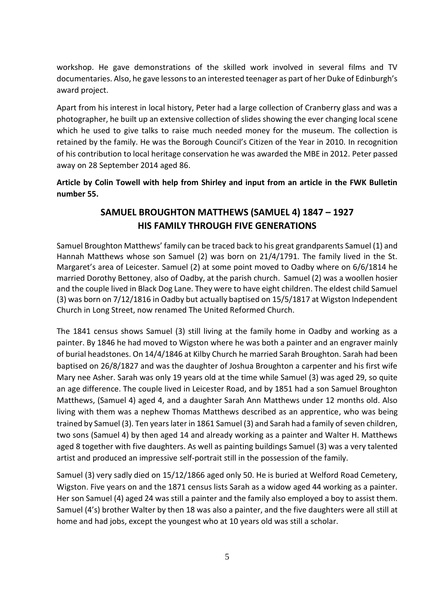workshop. He gave demonstrations of the skilled work involved in several films and TV documentaries. Also, he gave lessons to an interested teenager as part of her Duke of Edinburgh's award project.

Apart from his interest in local history, Peter had a large collection of Cranberry glass and was a photographer, he built up an extensive collection of slides showing the ever changing local scene which he used to give talks to raise much needed money for the museum. The collection is retained by the family. He was the Borough Council's Citizen of the Year in 2010. In recognition of his contribution to local heritage conservation he was awarded the MBE in 2012. Peter passed away on 28 September 2014 aged 86.

**Article by Colin Towell with help from Shirley and input from an article in the FWK Bulletin number 55.** 

## **SAMUEL BROUGHTON MATTHEWS (SAMUEL 4) 1847 – 1927 HIS FAMILY THROUGH FIVE GENERATIONS**

Samuel Broughton Matthews' family can be traced back to his great grandparents Samuel (1) and Hannah Matthews whose son Samuel (2) was born on 21/4/1791. The family lived in the St. Margaret's area of Leicester. Samuel (2) at some point moved to Oadby where on 6/6/1814 he married Dorothy Bettoney, also of Oadby, at the parish church. Samuel (2) was a woollen hosier and the couple lived in Black Dog Lane. They were to have eight children. The eldest child Samuel (3) was born on 7/12/1816 in Oadby but actually baptised on 15/5/1817 at Wigston Independent Church in Long Street, now renamed The United Reformed Church.

The 1841 census shows Samuel (3) still living at the family home in Oadby and working as a painter. By 1846 he had moved to Wigston where he was both a painter and an engraver mainly of burial headstones. On 14/4/1846 at Kilby Church he married Sarah Broughton. Sarah had been baptised on 26/8/1827 and was the daughter of Joshua Broughton a carpenter and his first wife Mary nee Asher. Sarah was only 19 years old at the time while Samuel (3) was aged 29, so quite an age difference. The couple lived in Leicester Road, and by 1851 had a son Samuel Broughton Matthews, (Samuel 4) aged 4, and a daughter Sarah Ann Matthews under 12 months old. Also living with them was a nephew Thomas Matthews described as an apprentice, who was being trained by Samuel (3). Ten years later in 1861 Samuel (3) and Sarah had a family of seven children, two sons (Samuel 4) by then aged 14 and already working as a painter and Walter H. Matthews aged 8 together with five daughters. As well as painting buildings Samuel (3) was a very talented artist and produced an impressive self-portrait still in the possession of the family.

Samuel (3) very sadly died on 15/12/1866 aged only 50. He is buried at Welford Road Cemetery, Wigston. Five years on and the 1871 census lists Sarah as a widow aged 44 working as a painter. Her son Samuel (4) aged 24 was still a painter and the family also employed a boy to assist them. Samuel (4's) brother Walter by then 18 was also a painter, and the five daughters were all still at home and had jobs, except the youngest who at 10 years old was still a scholar.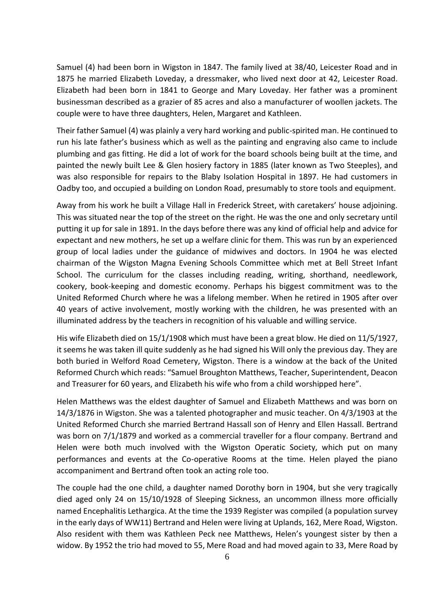Samuel (4) had been born in Wigston in 1847. The family lived at 38/40, Leicester Road and in 1875 he married Elizabeth Loveday, a dressmaker, who lived next door at 42, Leicester Road. Elizabeth had been born in 1841 to George and Mary Loveday. Her father was a prominent businessman described as a grazier of 85 acres and also a manufacturer of woollen jackets. The couple were to have three daughters, Helen, Margaret and Kathleen.

Their father Samuel (4) was plainly a very hard working and public-spirited man. He continued to run his late father's business which as well as the painting and engraving also came to include plumbing and gas fitting. He did a lot of work for the board schools being built at the time, and painted the newly built Lee & Glen hosiery factory in 1885 (later known as Two Steeples), and was also responsible for repairs to the Blaby Isolation Hospital in 1897. He had customers in Oadby too, and occupied a building on London Road, presumably to store tools and equipment.

Away from his work he built a Village Hall in Frederick Street, with caretakers' house adjoining. This was situated near the top of the street on the right. He was the one and only secretary until putting it up for sale in 1891. In the days before there was any kind of official help and advice for expectant and new mothers, he set up a welfare clinic for them. This was run by an experienced group of local ladies under the guidance of midwives and doctors. In 1904 he was elected chairman of the Wigston Magna Evening Schools Committee which met at Bell Street Infant School. The curriculum for the classes including reading, writing, shorthand, needlework, cookery, book-keeping and domestic economy. Perhaps his biggest commitment was to the United Reformed Church where he was a lifelong member. When he retired in 1905 after over 40 years of active involvement, mostly working with the children, he was presented with an illuminated address by the teachers in recognition of his valuable and willing service.

His wife Elizabeth died on 15/1/1908 which must have been a great blow. He died on 11/5/1927, it seems he was taken ill quite suddenly as he had signed his Will only the previous day. They are both buried in Welford Road Cemetery, Wigston. There is a window at the back of the United Reformed Church which reads: "Samuel Broughton Matthews, Teacher, Superintendent, Deacon and Treasurer for 60 years, and Elizabeth his wife who from a child worshipped here".

Helen Matthews was the eldest daughter of Samuel and Elizabeth Matthews and was born on 14/3/1876 in Wigston. She was a talented photographer and music teacher. On 4/3/1903 at the United Reformed Church she married Bertrand Hassall son of Henry and Ellen Hassall. Bertrand was born on 7/1/1879 and worked as a commercial traveller for a flour company. Bertrand and Helen were both much involved with the Wigston Operatic Society, which put on many performances and events at the Co-operative Rooms at the time. Helen played the piano accompaniment and Bertrand often took an acting role too.

The couple had the one child, a daughter named Dorothy born in 1904, but she very tragically died aged only 24 on 15/10/1928 of Sleeping Sickness, an uncommon illness more officially named Encephalitis Lethargica. At the time the 1939 Register was compiled (a population survey in the early days of WW11) Bertrand and Helen were living at Uplands, 162, Mere Road, Wigston. Also resident with them was Kathleen Peck nee Matthews, Helen's youngest sister by then a widow. By 1952 the trio had moved to 55, Mere Road and had moved again to 33, Mere Road by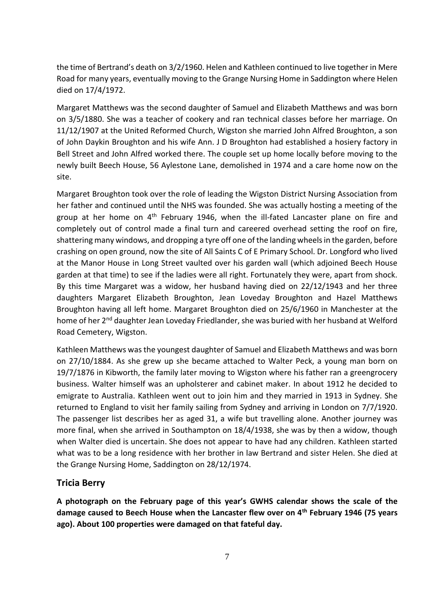the time of Bertrand's death on 3/2/1960. Helen and Kathleen continued to live together in Mere Road for many years, eventually moving to the Grange Nursing Home in Saddington where Helen died on 17/4/1972.

Margaret Matthews was the second daughter of Samuel and Elizabeth Matthews and was born on 3/5/1880. She was a teacher of cookery and ran technical classes before her marriage. On 11/12/1907 at the United Reformed Church, Wigston she married John Alfred Broughton, a son of John Daykin Broughton and his wife Ann. J D Broughton had established a hosiery factory in Bell Street and John Alfred worked there. The couple set up home locally before moving to the newly built Beech House, 56 Aylestone Lane, demolished in 1974 and a care home now on the site.

Margaret Broughton took over the role of leading the Wigston District Nursing Association from her father and continued until the NHS was founded. She was actually hosting a meeting of the group at her home on  $4<sup>th</sup>$  February 1946, when the ill-fated Lancaster plane on fire and completely out of control made a final turn and careered overhead setting the roof on fire, shattering many windows, and dropping a tyre off one of the landing wheels in the garden, before crashing on open ground, now the site of All Saints C of E Primary School. Dr. Longford who lived at the Manor House in Long Street vaulted over his garden wall (which adjoined Beech House garden at that time) to see if the ladies were all right. Fortunately they were, apart from shock. By this time Margaret was a widow, her husband having died on 22/12/1943 and her three daughters Margaret Elizabeth Broughton, Jean Loveday Broughton and Hazel Matthews Broughton having all left home. Margaret Broughton died on 25/6/1960 in Manchester at the home of her 2<sup>nd</sup> daughter Jean Loveday Friedlander, she was buried with her husband at Welford Road Cemetery, Wigston.

Kathleen Matthews was the youngest daughter of Samuel and Elizabeth Matthews and was born on 27/10/1884. As she grew up she became attached to Walter Peck, a young man born on 19/7/1876 in Kibworth, the family later moving to Wigston where his father ran a greengrocery business. Walter himself was an upholsterer and cabinet maker. In about 1912 he decided to emigrate to Australia. Kathleen went out to join him and they married in 1913 in Sydney. She returned to England to visit her family sailing from Sydney and arriving in London on 7/7/1920. The passenger list describes her as aged 31, a wife but travelling alone. Another journey was more final, when she arrived in Southampton on 18/4/1938, she was by then a widow, though when Walter died is uncertain. She does not appear to have had any children. Kathleen started what was to be a long residence with her brother in law Bertrand and sister Helen. She died at the Grange Nursing Home, Saddington on 28/12/1974.

#### **Tricia Berry**

**A photograph on the February page of this year's GWHS calendar shows the scale of the damage caused to Beech House when the Lancaster flew over on 4th February 1946 (75 years ago). About 100 properties were damaged on that fateful day.**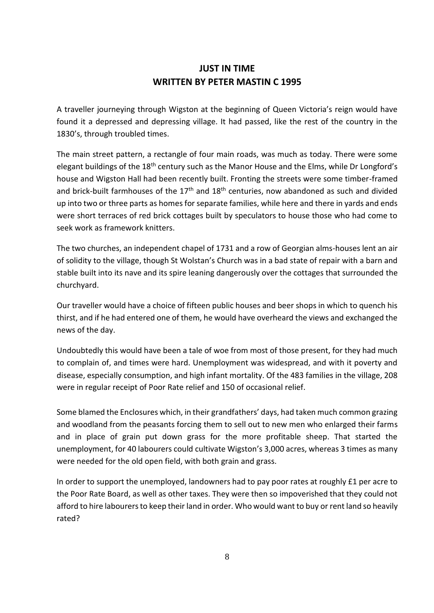## **JUST IN TIME WRITTEN BY PETER MASTIN C 1995**

A traveller journeying through Wigston at the beginning of Queen Victoria's reign would have found it a depressed and depressing village. It had passed, like the rest of the country in the 1830's, through troubled times.

The main street pattern, a rectangle of four main roads, was much as today. There were some elegant buildings of the 18<sup>th</sup> century such as the Manor House and the Elms, while Dr Longford's house and Wigston Hall had been recently built. Fronting the streets were some timber-framed and brick-built farmhouses of the  $17<sup>th</sup>$  and  $18<sup>th</sup>$  centuries, now abandoned as such and divided up into two or three parts as homes for separate families, while here and there in yards and ends were short terraces of red brick cottages built by speculators to house those who had come to seek work as framework knitters.

The two churches, an independent chapel of 1731 and a row of Georgian alms-houses lent an air of solidity to the village, though St Wolstan's Church was in a bad state of repair with a barn and stable built into its nave and its spire leaning dangerously over the cottages that surrounded the churchyard.

Our traveller would have a choice of fifteen public houses and beer shops in which to quench his thirst, and if he had entered one of them, he would have overheard the views and exchanged the news of the day.

Undoubtedly this would have been a tale of woe from most of those present, for they had much to complain of, and times were hard. Unemployment was widespread, and with it poverty and disease, especially consumption, and high infant mortality. Of the 483 families in the village, 208 were in regular receipt of Poor Rate relief and 150 of occasional relief.

Some blamed the Enclosures which, in their grandfathers' days, had taken much common grazing and woodland from the peasants forcing them to sell out to new men who enlarged their farms and in place of grain put down grass for the more profitable sheep. That started the unemployment, for 40 labourers could cultivate Wigston's 3,000 acres, whereas 3 times as many were needed for the old open field, with both grain and grass.

In order to support the unemployed, landowners had to pay poor rates at roughly £1 per acre to the Poor Rate Board, as well as other taxes. They were then so impoverished that they could not afford to hire labourers to keep their land in order. Who would want to buy or rent land so heavily rated?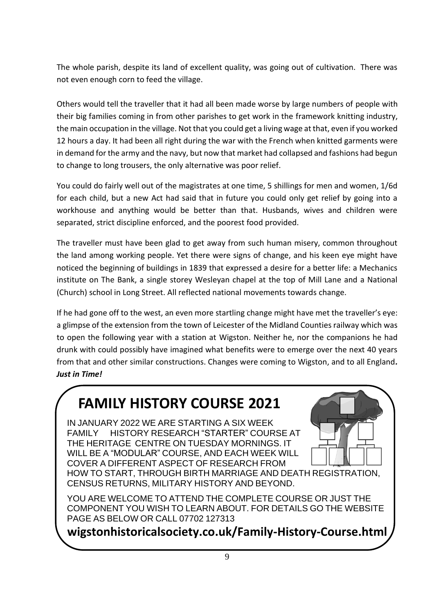The whole parish, despite its land of excellent quality, was going out of cultivation. There was not even enough corn to feed the village.

Others would tell the traveller that it had all been made worse by large numbers of people with their big families coming in from other parishes to get work in the framework knitting industry, the main occupation in the village. Not that you could get a living wage at that, even if you worked 12 hours a day. It had been all right during the war with the French when knitted garments were in demand for the army and the navy, but now that market had collapsed and fashions had begun to change to long trousers, the only alternative was poor relief.

You could do fairly well out of the magistrates at one time, 5 shillings for men and women, 1/6d for each child, but a new Act had said that in future you could only get relief by going into a workhouse and anything would be better than that. Husbands, wives and children were separated, strict discipline enforced, and the poorest food provided.

The traveller must have been glad to get away from such human misery, common throughout the land among working people. Yet there were signs of change, and his keen eye might have noticed the beginning of buildings in 1839 that expressed a desire for a better life: a Mechanics institute on The Bank, a single storey Wesleyan chapel at the top of Mill Lane and a National (Church) school in Long Street. All reflected national movements towards change.

If he had gone off to the west, an even more startling change might have met the traveller's eye: a glimpse of the extension from the town of Leicester of the Midland Counties railway which was to open the following year with a station at Wigston. Neither he, nor the companions he had drunk with could possibly have imagined what benefits were to emerge over the next 40 years from that and other similar constructions. Changes were coming to Wigston, and to all England*. Just in Time!*

# **FAMILY HISTORY COURSE 2021**

IN JANUARY 2022 WE ARE STARTING A SIX WEEK FAMILY HISTORY RESEARCH "STARTER" COURSE AT THE HERITAGE CENTRE ON TUESDAY MORNINGS. IT WILL BE A "MODULAR" COURSE, AND EACH WEEK WILL COVER A DIFFERENT ASPECT OF RESEARCH FROM HOW TO START, THROUGH BIRTH MARRIAGE AND DEATH REGISTRATION, CENSUS RETURNS, MILITARY HISTORY AND BEYOND.



YOU ARE WELCOME TO ATTEND THE COMPLETE COURSE OR JUST THE COMPONENT YOU WISH TO LEARN ABOUT. FOR DETAILS GO THE WEBSITE PAGE AS BELOW OR CALL 07702 127313

**wigstonhistoricalsociety.co.uk/Family-History-Course.html**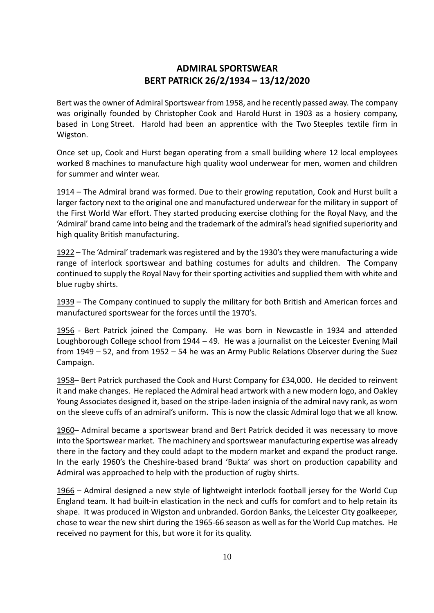## **ADMIRAL SPORTSWEAR BERT PATRICK 26/2/1934 – 13/12/2020**

Bert was the owner of Admiral Sportswear from 1958, and he recently passed away. The company was originally founded by Christopher Cook and Harold Hurst in 1903 as a hosiery company, based in Long Street. Harold had been an apprentice with the Two Steeples textile firm in Wigston.

Once set up, Cook and Hurst began operating from a small building where 12 local employees worked 8 machines to manufacture high quality wool underwear for men, women and children for summer and winter wear.

1914 – The Admiral brand was formed. Due to their growing reputation, Cook and Hurst built a larger factory next to the original one and manufactured underwear for the military in support of the First World War effort. They started producing exercise clothing for the Royal Navy, and the 'Admiral' brand came into being and the trademark of the admiral's head signified superiority and high quality British manufacturing.

1922 – The 'Admiral' trademark was registered and by the 1930's they were manufacturing a wide range of interlock sportswear and bathing costumes for adults and children. The Company continued to supply the Royal Navy for their sporting activities and supplied them with white and blue rugby shirts.

1939 – The Company continued to supply the military for both British and American forces and manufactured sportswear for the forces until the 1970's.

1956 - Bert Patrick joined the Company. He was born in Newcastle in 1934 and attended Loughborough College school from 1944 – 49. He was a journalist on the Leicester Evening Mail from 1949 – 52, and from 1952 – 54 he was an Army Public Relations Observer during the Suez Campaign.

1958– Bert Patrick purchased the Cook and Hurst Company for £34,000. He decided to reinvent it and make changes. He replaced the Admiral head artwork with a new modern logo, and Oakley Young Associates designed it, based on the stripe-laden insignia of the admiral navy rank, as worn on the sleeve cuffs of an admiral's uniform. This is now the classic Admiral logo that we all know.

1960– Admiral became a sportswear brand and Bert Patrick decided it was necessary to move into the Sportswear market. The machinery and sportswear manufacturing expertise was already there in the factory and they could adapt to the modern market and expand the product range. In the early 1960's the Cheshire-based brand 'Bukta' was short on production capability and Admiral was approached to help with the production of rugby shirts.

1966 – Admiral designed a new style of lightweight interlock football jersey for the World Cup England team. It had built-in elastication in the neck and cuffs for comfort and to help retain its shape. It was produced in Wigston and unbranded. Gordon Banks, the Leicester City goalkeeper, chose to wear the new shirt during the 1965-66 season as well as for the World Cup matches. He received no payment for this, but wore it for its quality.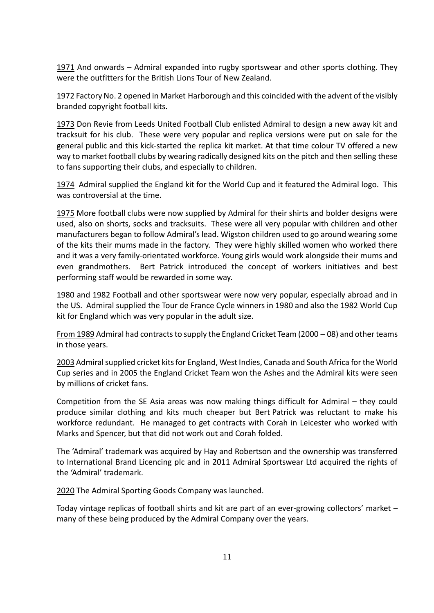1971 And onwards – Admiral expanded into rugby sportswear and other sports clothing. They were the outfitters for the British Lions Tour of New Zealand.

1972 Factory No. 2 opened in Market Harborough and this coincided with the advent of the visibly branded copyright football kits.

1973 Don Revie from Leeds United Football Club enlisted Admiral to design a new away kit and tracksuit for his club. These were very popular and replica versions were put on sale for the general public and this kick-started the replica kit market. At that time colour TV offered a new way to market football clubs by wearing radically designed kits on the pitch and then selling these to fans supporting their clubs, and especially to children.

1974 Admiral supplied the England kit for the World Cup and it featured the Admiral logo. This was controversial at the time.

1975 More football clubs were now supplied by Admiral for their shirts and bolder designs were used, also on shorts, socks and tracksuits. These were all very popular with children and other manufacturers began to follow Admiral's lead. Wigston children used to go around wearing some of the kits their mums made in the factory. They were highly skilled women who worked there and it was a very family-orientated workforce. Young girls would work alongside their mums and even grandmothers. Bert Patrick introduced the concept of workers initiatives and best performing staff would be rewarded in some way.

1980 and 1982 Football and other sportswear were now very popular, especially abroad and in the US. Admiral supplied the Tour de France Cycle winners in 1980 and also the 1982 World Cup kit for England which was very popular in the adult size.

From 1989 Admiral had contracts to supply the England Cricket Team (2000 – 08) and other teams in those years.

2003 Admiral supplied cricket kits for England, West Indies, Canada and South Africa for the World Cup series and in 2005 the England Cricket Team won the Ashes and the Admiral kits were seen by millions of cricket fans.

Competition from the SE Asia areas was now making things difficult for Admiral – they could produce similar clothing and kits much cheaper but Bert Patrick was reluctant to make his workforce redundant. He managed to get contracts with Corah in Leicester who worked with Marks and Spencer, but that did not work out and Corah folded.

The 'Admiral' trademark was acquired by Hay and Robertson and the ownership was transferred to International Brand Licencing plc and in 2011 Admiral Sportswear Ltd acquired the rights of the 'Admiral' trademark.

2020 The Admiral Sporting Goods Company was launched.

Today vintage replicas of football shirts and kit are part of an ever-growing collectors' market – many of these being produced by the Admiral Company over the years.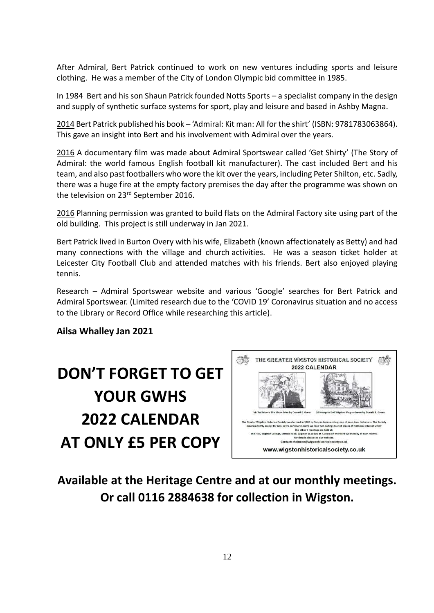After Admiral, Bert Patrick continued to work on new ventures including sports and leisure clothing. He was a member of the City of London Olympic bid committee in 1985.

In 1984 Bert and his son Shaun Patrick founded Notts Sports – a specialist company in the design and supply of synthetic surface systems for sport, play and leisure and based in Ashby Magna.

2014 Bert Patrick published his book – 'Admiral: Kit man: All for the shirt' (ISBN: 9781783063864). This gave an insight into Bert and his involvement with Admiral over the years.

2016 A documentary film was made about Admiral Sportswear called 'Get Shirty' (The Story of Admiral: the world famous English football kit manufacturer). The cast included Bert and his team, and also past footballers who wore the kit over the years, including Peter Shilton, etc. Sadly, there was a huge fire at the empty factory premises the day after the programme was shown on the television on 23<sup>rd</sup> September 2016.

2016 Planning permission was granted to build flats on the Admiral Factory site using part of the old building. This project is still underway in Jan 2021.

Bert Patrick lived in Burton Overy with his wife, Elizabeth (known affectionately as Betty) and had many connections with the village and church activities. He was a season ticket holder at Leicester City Football Club and attended matches with his friends. Bert also enjoyed playing tennis.

Research – Admiral Sportswear website and various 'Google' searches for Bert Patrick and Admiral Sportswear. (Limited research due to the 'COVID 19' Coronavirus situation and no access to the Library or Record Office while researching this article).

#### **Ailsa Whalley Jan 2021**



**Available at the Heritage Centre and at our monthly meetings. Or call 0116 2884638 for collection in Wigston.**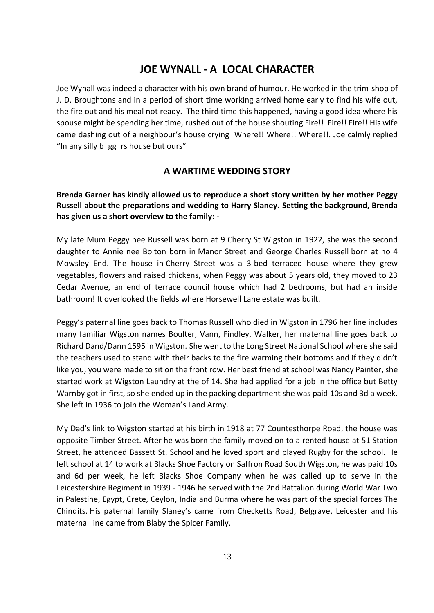## **JOE WYNALL - A LOCAL CHARACTER**

Joe Wynall was indeed a character with his own brand of humour. He worked in the trim-shop of J. D. Broughtons and in a period of short time working arrived home early to find his wife out, the fire out and his meal not ready. The third time this happened, having a good idea where his spouse might be spending her time, rushed out of the house shouting Fire!! Fire!! Fire!! His wife came dashing out of a neighbour's house crying Where!! Where!! Where!!. Joe calmly replied "In any silly b gg rs house but ours"

### **A WARTIME WEDDING STORY**

**Brenda Garner has kindly allowed us to reproduce a short story written by her mother Peggy Russell about the preparations and wedding to Harry Slaney. Setting the background, Brenda has given us a short overview to the family: -**

My late Mum Peggy nee Russell was born at 9 Cherry St Wigston in 1922, she was the second daughter to Annie nee Bolton born in Manor Street and George Charles Russell born at no 4 Mowsley End. The house in Cherry Street was a 3-bed terraced house where they grew vegetables, flowers and raised chickens, when Peggy was about 5 years old, they moved to 23 Cedar Avenue, an end of terrace council house which had 2 bedrooms, but had an inside bathroom! It overlooked the fields where Horsewell Lane estate was built.

Peggy's paternal line goes back to Thomas Russell who died in Wigston in 1796 her line includes many familiar Wigston names Boulter, Vann, Findley, Walker, her maternal line goes back to Richard Dand/Dann 1595 in Wigston. She went to the Long Street National School where she said the teachers used to stand with their backs to the fire warming their bottoms and if they didn't like you, you were made to sit on the front row. Her best friend at school was Nancy Painter, she started work at Wigston Laundry at the of 14. She had applied for a job in the office but Betty Warnby got in first, so she ended up in the packing department she was paid 10s and 3d a week. She left in 1936 to join the Woman's Land Army.

My Dad's link to Wigston started at his birth in 1918 at 77 Countesthorpe Road, the house was opposite Timber Street. After he was born the family moved on to a rented house at 51 Station Street, he attended Bassett St. School and he loved sport and played Rugby for the school. He left school at 14 to work at Blacks Shoe Factory on Saffron Road South Wigston, he was paid 10s and 6d per week, he left Blacks Shoe Company when he was called up to serve in the Leicestershire Regiment in 1939 - 1946 he served with the 2nd Battalion during World War Two in Palestine, Egypt, Crete, Ceylon, India and Burma where he was part of the special forces The Chindits. His paternal family Slaney's came from Checketts Road, Belgrave, Leicester and his maternal line came from Blaby the Spicer Family.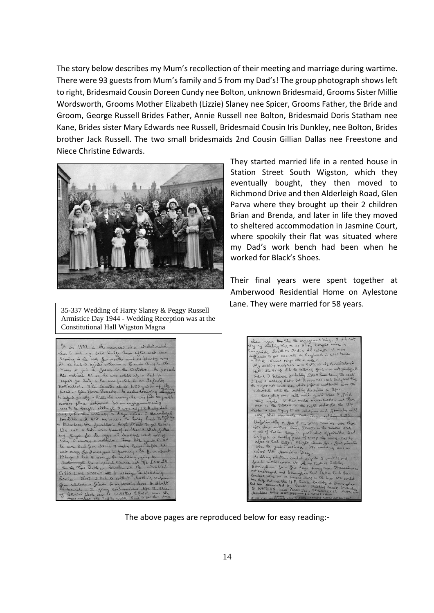The story below describes my Mum's recollection of their meeting and marriage during wartime. There were 93 guests from Mum's family and 5 from my Dad's! The group photograph shows left to right, Bridesmaid Cousin Doreen Cundy nee Bolton, unknown Bridesmaid, Grooms Sister Millie Wordsworth, Grooms Mother Elizabeth (Lizzie) Slaney nee Spicer, Grooms Father, the Bride and Groom, George Russell Brides Father, Annie Russell nee Bolton, Bridesmaid Doris Statham nee Kane, Brides sister Mary Edwards nee Russell, Bridesmaid Cousin Iris Dunkley, nee Bolton, Brides brother Jack Russell. The two small bridesmaids 2nd Cousin Gillian Dallas nee Freestone and Niece Christine Edwards.



35-337 Wedding of Harry Slaney & Peggy Russell Armistice Day 1944 - Wedding Reception was at the Constitutional Hall Wigston Magna

They started married life in a rented house in Station Street South Wigston, which they eventually bought, they then moved to Richmond Drive and then Alderleigh Road, Glen Parva where they brought up their 2 children Brian and Brenda, and later in life they moved to sheltered accommodation in Jasmine Court, where spookily their flat was situated where my Dad's work bench had been when he worked for Black's Shoes.

Their final years were spent together at Amberwood Residential Home on Aylestone Lane. They were married for 58 years.

| it in 1931 in the summer at a cricket match                                                    |
|------------------------------------------------------------------------------------------------|
| where I not my better half. Soon efter wat was                                                 |
| looming in the next few months and us Haity was                                                |
| 20 Le had to tegiste either as a Bevin Boy in the                                              |
| Mines at join the Satura in the October. He passed                                             |
| Ais medical Al so be was called up a fad to                                                    |
| report for duty , he was posted to an Infarty                                                  |
|                                                                                                |
| Battullion, I he Leientos about 600 yerds up the                                               |
| to defend you elle a fille the eveny, he was for be posted                                     |
| overeas place unhorsem. So an engagement ting                                                  |
| was to be loongle although I was andy 17. A My dad                                             |
| said O.K. then will aly 3 hays notice I developed                                              |
| forsibilities and lost my voice. So they had to go cur                                         |
| to Kichardson, the jewellers in High Street to get the trig                                    |
| We cut a fall in n five of codboard that fitted                                                |
| my gings, you de sige a I destibed what sort of                                                |
| ting I wanted a solitaire. For 4/2 years later                                                 |
| he came back four absord 3 weeks leave before he                                               |
| west away for I make years in Germany. 30 2 in about                                           |
| 10 days I had to wrange the wedding, going to                                                  |
| Nationalge for a special liance not 7/6 £305 £4                                                |
| See the Pour Welham blashe at the WIGSTON                                                      |
| CONGS LONG STREET HE to alrange the Wedding<br>Service. Jost 3 fad to collect clothing confins |
| Some relatives a friend to my wedding dess it delut                                            |
| bridenaids a 2 young bridenaids Mts Belliss                                                    |
|                                                                                                |
| of CENich Nooh new it wolstas Child was the                                                    |



The above pages are reproduced below for easy reading:-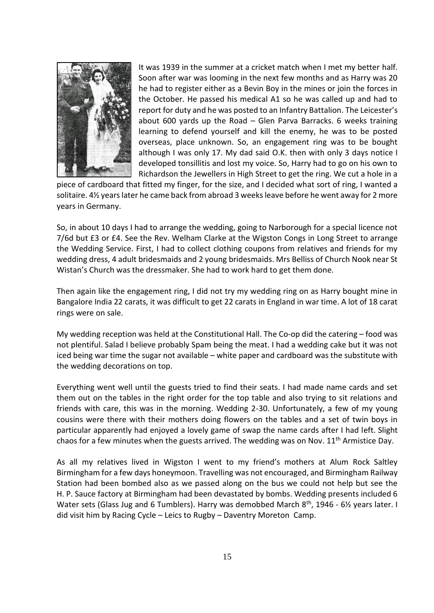

It was 1939 in the summer at a cricket match when I met my better half. Soon after war was looming in the next few months and as Harry was 20 he had to register either as a Bevin Boy in the mines or join the forces in the October. He passed his medical A1 so he was called up and had to report for duty and he was posted to an Infantry Battalion. The Leicester's about 600 yards up the Road – Glen Parva Barracks. 6 weeks training learning to defend yourself and kill the enemy, he was to be posted overseas, place unknown. So, an engagement ring was to be bought although I was only 17. My dad said O.K. then with only 3 days notice I developed tonsillitis and lost my voice. So, Harry had to go on his own to Richardson the Jewellers in High Street to get the ring. We cut a hole in a

piece of cardboard that fitted my finger, for the size, and I decided what sort of ring, I wanted a solitaire. 4½ years later he came back from abroad 3 weeks leave before he went away for 2 more years in Germany.

So, in about 10 days I had to arrange the wedding, going to Narborough for a special licence not 7/6d but £3 or £4. See the Rev. Welham Clarke at the Wigston Congs in Long Street to arrange the Wedding Service. First, I had to collect clothing coupons from relatives and friends for my wedding dress, 4 adult bridesmaids and 2 young bridesmaids. Mrs Belliss of Church Nook near St Wistan's Church was the dressmaker. She had to work hard to get them done.

Then again like the engagement ring, I did not try my wedding ring on as Harry bought mine in Bangalore India 22 carats, it was difficult to get 22 carats in England in war time. A lot of 18 carat rings were on sale.

My wedding reception was held at the Constitutional Hall. The Co-op did the catering – food was not plentiful. Salad I believe probably Spam being the meat. I had a wedding cake but it was not iced being war time the sugar not available – white paper and cardboard was the substitute with the wedding decorations on top.

Everything went well until the guests tried to find their seats. I had made name cards and set them out on the tables in the right order for the top table and also trying to sit relations and friends with care, this was in the morning. Wedding 2-30. Unfortunately, a few of my young cousins were there with their mothers doing flowers on the tables and a set of twin boys in particular apparently had enjoyed a lovely game of swap the name cards after I had left. Slight chaos for a few minutes when the guests arrived. The wedding was on Nov. 11<sup>th</sup> Armistice Day.

As all my relatives lived in Wigston I went to my friend's mothers at Alum Rock Saltley Birmingham for a few days honeymoon. Travelling was not encouraged, and Birmingham Railway Station had been bombed also as we passed along on the bus we could not help but see the H. P. Sauce factory at Birmingham had been devastated by bombs. Wedding presents included 6 Water sets (Glass Jug and 6 Tumblers). Harry was demobbed March  $8<sup>th</sup>$ , 1946 - 6 $\frac{1}{2}$  years later. I did visit him by Racing Cycle – Leics to Rugby – Daventry Moreton Camp.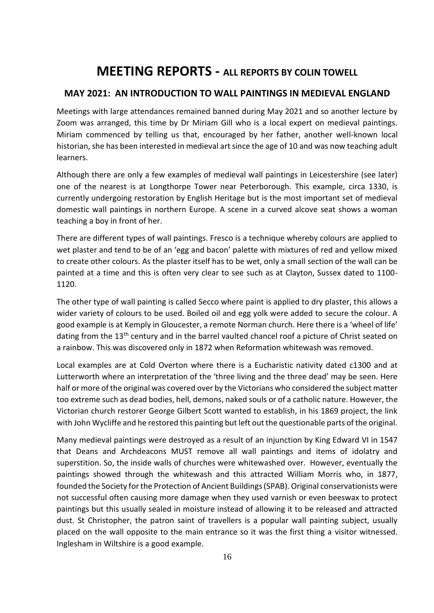# **MEETING REPORTS - ALL REPORTS BY COLIN TOWELL**

## **MAY 2021: AN INTRODUCTION TO WALL PAINTINGS IN MEDIEVAL ENGLAND**

Meetings with large attendances remained banned during May 2021 and so another lecture by Zoom was arranged, this time by Dr Miriam Gill who is a local expert on medieval paintings. Miriam commenced by telling us that, encouraged by her father, another well-known local historian, she has been interested in medieval art since the age of 10 and was now teaching adult learners.

Although there are only a few examples of medieval wall paintings in Leicestershire (see later) one of the nearest is at Longthorpe Tower near Peterborough. This example, circa 1330, is currently undergoing restoration by English Heritage but is the most important set of medieval domestic wall paintings in northern Europe. A scene in a curved alcove seat shows a woman teaching a boy in front of her.

There are different types of wall paintings. Fresco is a technique whereby colours are applied to wet plaster and tend to be of an 'egg and bacon' palette with mixtures of red and yellow mixed to create other colours. As the plaster itself has to be wet, only a small section of the wall can be painted at a time and this is often very clear to see such as at Clayton, Sussex dated to 1100- 1120.

The other type of wall painting is called Secco where paint is applied to dry plaster, this allows a wider variety of colours to be used. Boiled oil and egg yolk were added to secure the colour. A good example is at Kemply in Gloucester, a remote Norman church. Here there is a 'wheel of life' dating from the 13<sup>th</sup> century and in the barrel vaulted chancel roof a picture of Christ seated on a rainbow. This was discovered only in 1872 when Reformation whitewash was removed.

Local examples are at Cold Overton where there is a Eucharistic nativity dated c1300 and at Lutterworth where an interpretation of the 'three living and the three dead' may be seen. Here half or more of the original was covered over by the Victorians who considered the subject matter too extreme such as dead bodies, hell, demons, naked souls or of a catholic nature. However, the Victorian church restorer George Gilbert Scott wanted to establish, in his 1869 project, the link with John Wycliffe and he restored this painting but left out the questionable parts of the original.

Many medieval paintings were destroyed as a result of an injunction by King Edward VI in 1547 that Deans and Archdeacons MUST remove all wall paintings and items of idolatry and superstition. So, the inside walls of churches were whitewashed over. However, eventually the paintings showed through the whitewash and this attracted William Morris who, in 1877, founded the Society for the Protection of Ancient Buildings (SPAB). Original conservationists were not successful often causing more damage when they used varnish or even beeswax to protect paintings but this usually sealed in moisture instead of allowing it to be released and attracted dust. St Christopher, the patron saint of travellers is a popular wall painting subject, usually placed on the wall opposite to the main entrance so it was the first thing a visitor witnessed. Inglesham in Wiltshire is a good example.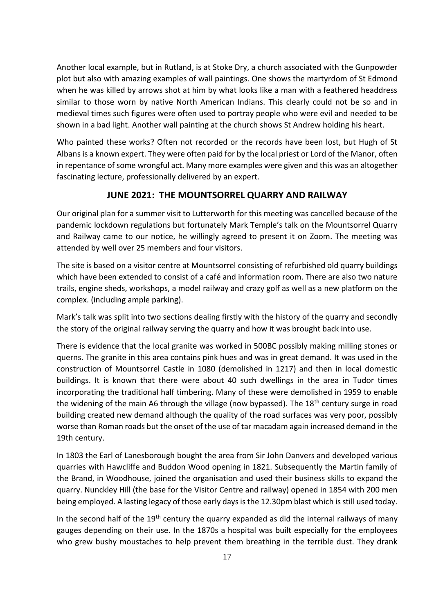Another local example, but in Rutland, is at Stoke Dry, a church associated with the Gunpowder plot but also with amazing examples of wall paintings. One shows the martyrdom of St Edmond when he was killed by arrows shot at him by what looks like a man with a feathered headdress similar to those worn by native North American Indians. This clearly could not be so and in medieval times such figures were often used to portray people who were evil and needed to be shown in a bad light. Another wall painting at the church shows St Andrew holding his heart.

Who painted these works? Often not recorded or the records have been lost, but Hugh of St Albans is a known expert. They were often paid for by the local priest or Lord of the Manor, often in repentance of some wrongful act. Many more examples were given and this was an altogether fascinating lecture, professionally delivered by an expert.

### **JUNE 2021: THE MOUNTSORREL QUARRY AND RAILWAY**

Our original plan for a summer visit to Lutterworth for this meeting was cancelled because of the pandemic lockdown regulations but fortunately Mark Temple's talk on the Mountsorrel Quarry and Railway came to our notice, he willingly agreed to present it on Zoom. The meeting was attended by well over 25 members and four visitors.

The site is based on a visitor centre at Mountsorrel consisting of refurbished old quarry buildings which have been extended to consist of a café and information room. There are also two nature trails, engine sheds, workshops, a model railway and crazy golf as well as a new platform on the complex. (including ample parking).

Mark's talk was split into two sections dealing firstly with the history of the quarry and secondly the story of the original railway serving the quarry and how it was brought back into use.

There is evidence that the local granite was worked in 500BC possibly making milling stones or querns. The granite in this area contains pink hues and was in great demand. It was used in the construction of Mountsorrel Castle in 1080 (demolished in 1217) and then in local domestic buildings. It is known that there were about 40 such dwellings in the area in Tudor times incorporating the traditional half timbering. Many of these were demolished in 1959 to enable the widening of the main A6 through the village (now bypassed). The 18<sup>th</sup> century surge in road building created new demand although the quality of the road surfaces was very poor, possibly worse than Roman roads but the onset of the use of tar macadam again increased demand in the 19th century.

In 1803 the Earl of Lanesborough bought the area from Sir John Danvers and developed various quarries with Hawcliffe and Buddon Wood opening in 1821. Subsequently the Martin family of the Brand, in Woodhouse, joined the organisation and used their business skills to expand the quarry. Nunckley Hill (the base for the Visitor Centre and railway) opened in 1854 with 200 men being employed. A lasting legacy of those early days is the 12.30pm blast which is still used today.

In the second half of the 19<sup>th</sup> century the quarry expanded as did the internal railways of many gauges depending on their use. In the 1870s a hospital was built especially for the employees who grew bushy moustaches to help prevent them breathing in the terrible dust. They drank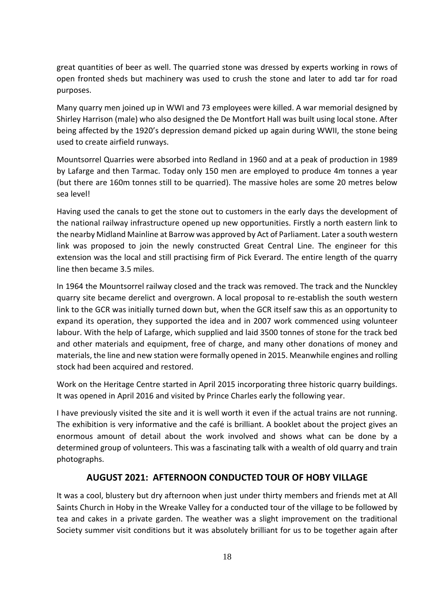great quantities of beer as well. The quarried stone was dressed by experts working in rows of open fronted sheds but machinery was used to crush the stone and later to add tar for road purposes.

Many quarry men joined up in WWI and 73 employees were killed. A war memorial designed by Shirley Harrison (male) who also designed the De Montfort Hall was built using local stone. After being affected by the 1920's depression demand picked up again during WWII, the stone being used to create airfield runways.

Mountsorrel Quarries were absorbed into Redland in 1960 and at a peak of production in 1989 by Lafarge and then Tarmac. Today only 150 men are employed to produce 4m tonnes a year (but there are 160m tonnes still to be quarried). The massive holes are some 20 metres below sea level!

Having used the canals to get the stone out to customers in the early days the development of the national railway infrastructure opened up new opportunities. Firstly a north eastern link to the nearby Midland Mainline at Barrow was approved by Act of Parliament. Later a south western link was proposed to join the newly constructed Great Central Line. The engineer for this extension was the local and still practising firm of Pick Everard. The entire length of the quarry line then became 3.5 miles.

In 1964 the Mountsorrel railway closed and the track was removed. The track and the Nunckley quarry site became derelict and overgrown. A local proposal to re-establish the south western link to the GCR was initially turned down but, when the GCR itself saw this as an opportunity to expand its operation, they supported the idea and in 2007 work commenced using volunteer labour. With the help of Lafarge, which supplied and laid 3500 tonnes of stone for the track bed and other materials and equipment, free of charge, and many other donations of money and materials, the line and new station were formally opened in 2015. Meanwhile engines and rolling stock had been acquired and restored.

Work on the Heritage Centre started in April 2015 incorporating three historic quarry buildings. It was opened in April 2016 and visited by Prince Charles early the following year.

I have previously visited the site and it is well worth it even if the actual trains are not running. The exhibition is very informative and the café is brilliant. A booklet about the project gives an enormous amount of detail about the work involved and shows what can be done by a determined group of volunteers. This was a fascinating talk with a wealth of old quarry and train photographs.

## **AUGUST 2021: AFTERNOON CONDUCTED TOUR OF HOBY VILLAGE**

It was a cool, blustery but dry afternoon when just under thirty members and friends met at All Saints Church in Hoby in the Wreake Valley for a conducted tour of the village to be followed by tea and cakes in a private garden. The weather was a slight improvement on the traditional Society summer visit conditions but it was absolutely brilliant for us to be together again after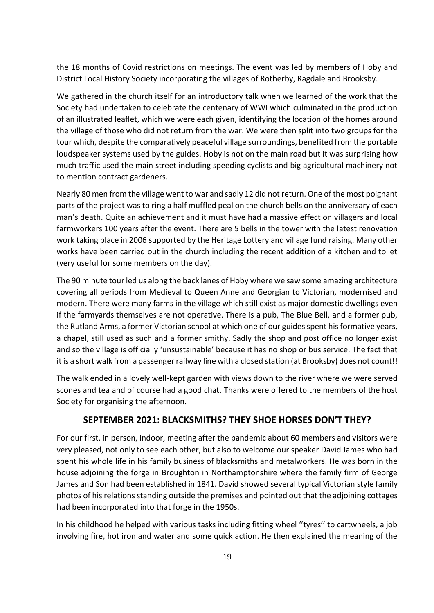the 18 months of Covid restrictions on meetings. The event was led by members of Hoby and District Local History Society incorporating the villages of Rotherby, Ragdale and Brooksby.

We gathered in the church itself for an introductory talk when we learned of the work that the Society had undertaken to celebrate the centenary of WWI which culminated in the production of an illustrated leaflet, which we were each given, identifying the location of the homes around the village of those who did not return from the war. We were then split into two groups for the tour which, despite the comparatively peaceful village surroundings, benefited from the portable loudspeaker systems used by the guides. Hoby is not on the main road but it was surprising how much traffic used the main street including speeding cyclists and big agricultural machinery not to mention contract gardeners.

Nearly 80 men from the village went to war and sadly 12 did not return. One of the most poignant parts of the project was to ring a half muffled peal on the church bells on the anniversary of each man's death. Quite an achievement and it must have had a massive effect on villagers and local farmworkers 100 years after the event. There are 5 bells in the tower with the latest renovation work taking place in 2006 supported by the Heritage Lottery and village fund raising. Many other works have been carried out in the church including the recent addition of a kitchen and toilet (very useful for some members on the day).

The 90 minute tour led us along the back lanes of Hoby where we saw some amazing architecture covering all periods from Medieval to Queen Anne and Georgian to Victorian, modernised and modern. There were many farms in the village which still exist as major domestic dwellings even if the farmyards themselves are not operative. There is a pub, The Blue Bell, and a former pub, the Rutland Arms, a former Victorian school at which one of our guides spent his formative years, a chapel, still used as such and a former smithy. Sadly the shop and post office no longer exist and so the village is officially 'unsustainable' because it has no shop or bus service. The fact that it is a short walk from a passenger railway line with a closed station (at Brooksby) does not count!!

The walk ended in a lovely well-kept garden with views down to the river where we were served scones and tea and of course had a good chat. Thanks were offered to the members of the host Society for organising the afternoon.

### **SEPTEMBER 2021: BLACKSMITHS? THEY SHOE HORSES DON'T THEY?**

For our first, in person, indoor, meeting after the pandemic about 60 members and visitors were very pleased, not only to see each other, but also to welcome our speaker David James who had spent his whole life in his family business of blacksmiths and metalworkers. He was born in the house adjoining the forge in Broughton in Northamptonshire where the family firm of George James and Son had been established in 1841. David showed several typical Victorian style family photos of his relations standing outside the premises and pointed out that the adjoining cottages had been incorporated into that forge in the 1950s.

In his childhood he helped with various tasks including fitting wheel ''tyres'' to cartwheels, a job involving fire, hot iron and water and some quick action. He then explained the meaning of the